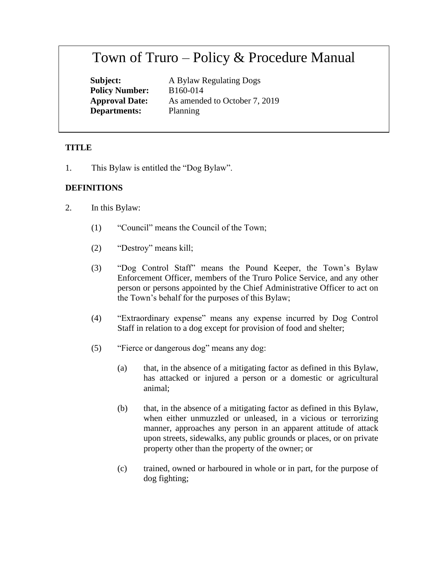# Town of Truro – Policy & Procedure Manual

**Policy Number:** B160-014 **Departments:** Planning

**Subject:** A Bylaw Regulating Dogs **Approval Date:** As amended to October 7, 2019

# **TITLE**

1. This Bylaw is entitled the "Dog Bylaw".

# **DEFINITIONS**

- 2. In this Bylaw:
	- (1) "Council" means the Council of the Town;
	- (2) "Destroy" means kill;
	- (3) "Dog Control Staff" means the Pound Keeper, the Town's Bylaw Enforcement Officer, members of the Truro Police Service, and any other person or persons appointed by the Chief Administrative Officer to act on the Town's behalf for the purposes of this Bylaw;
	- (4) "Extraordinary expense" means any expense incurred by Dog Control Staff in relation to a dog except for provision of food and shelter;
	- (5) "Fierce or dangerous dog" means any dog:
		- (a) that, in the absence of a mitigating factor as defined in this Bylaw, has attacked or injured a person or a domestic or agricultural animal;
		- (b) that, in the absence of a mitigating factor as defined in this Bylaw, when either unmuzzled or unleased, in a vicious or terrorizing manner, approaches any person in an apparent attitude of attack upon streets, sidewalks, any public grounds or places, or on private property other than the property of the owner; or
		- (c) trained, owned or harboured in whole or in part, for the purpose of dog fighting;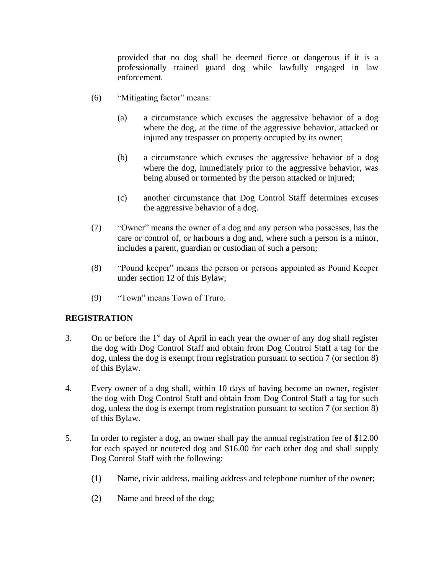provided that no dog shall be deemed fierce or dangerous if it is a professionally trained guard dog while lawfully engaged in law enforcement.

- (6) "Mitigating factor" means:
	- (a) a circumstance which excuses the aggressive behavior of a dog where the dog, at the time of the aggressive behavior, attacked or injured any trespasser on property occupied by its owner;
	- (b) a circumstance which excuses the aggressive behavior of a dog where the dog, immediately prior to the aggressive behavior, was being abused or tormented by the person attacked or injured;
	- (c) another circumstance that Dog Control Staff determines excuses the aggressive behavior of a dog.
- (7) "Owner" means the owner of a dog and any person who possesses, has the care or control of, or harbours a dog and, where such a person is a minor, includes a parent, guardian or custodian of such a person;
- (8) "Pound keeper" means the person or persons appointed as Pound Keeper under section 12 of this Bylaw;
- (9) "Town" means Town of Truro.

# **REGISTRATION**

- 3. On or before the  $1<sup>st</sup>$  day of April in each year the owner of any dog shall register the dog with Dog Control Staff and obtain from Dog Control Staff a tag for the dog, unless the dog is exempt from registration pursuant to section 7 (or section 8) of this Bylaw.
- 4. Every owner of a dog shall, within 10 days of having become an owner, register the dog with Dog Control Staff and obtain from Dog Control Staff a tag for such dog, unless the dog is exempt from registration pursuant to section 7 (or section 8) of this Bylaw.
- 5. In order to register a dog, an owner shall pay the annual registration fee of \$12.00 for each spayed or neutered dog and \$16.00 for each other dog and shall supply Dog Control Staff with the following:
	- (1) Name, civic address, mailing address and telephone number of the owner;
	- (2) Name and breed of the dog;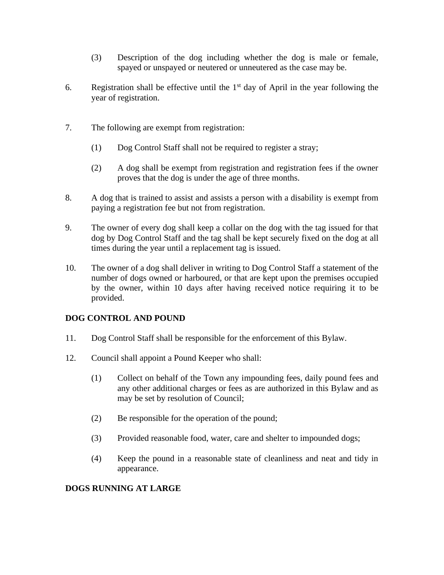- (3) Description of the dog including whether the dog is male or female, spayed or unspayed or neutered or unneutered as the case may be.
- 6. Registration shall be effective until the  $1<sup>st</sup>$  day of April in the year following the year of registration.
- 7. The following are exempt from registration:
	- (1) Dog Control Staff shall not be required to register a stray;
	- (2) A dog shall be exempt from registration and registration fees if the owner proves that the dog is under the age of three months.
- 8. A dog that is trained to assist and assists a person with a disability is exempt from paying a registration fee but not from registration.
- 9. The owner of every dog shall keep a collar on the dog with the tag issued for that dog by Dog Control Staff and the tag shall be kept securely fixed on the dog at all times during the year until a replacement tag is issued.
- 10. The owner of a dog shall deliver in writing to Dog Control Staff a statement of the number of dogs owned or harboured, or that are kept upon the premises occupied by the owner, within 10 days after having received notice requiring it to be provided.

# **DOG CONTROL AND POUND**

- 11. Dog Control Staff shall be responsible for the enforcement of this Bylaw.
- 12. Council shall appoint a Pound Keeper who shall:
	- (1) Collect on behalf of the Town any impounding fees, daily pound fees and any other additional charges or fees as are authorized in this Bylaw and as may be set by resolution of Council;
	- (2) Be responsible for the operation of the pound;
	- (3) Provided reasonable food, water, care and shelter to impounded dogs;
	- (4) Keep the pound in a reasonable state of cleanliness and neat and tidy in appearance.

# **DOGS RUNNING AT LARGE**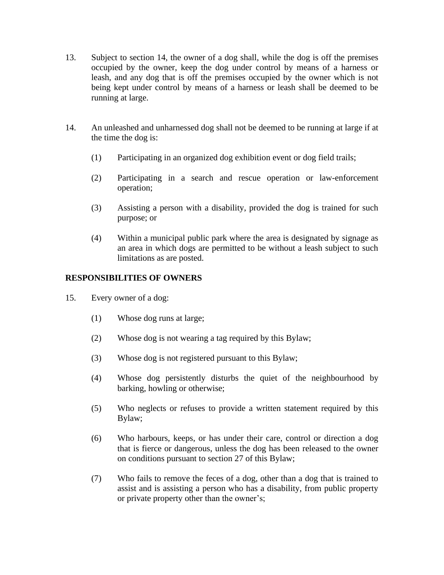- 13. Subject to section 14, the owner of a dog shall, while the dog is off the premises occupied by the owner, keep the dog under control by means of a harness or leash, and any dog that is off the premises occupied by the owner which is not being kept under control by means of a harness or leash shall be deemed to be running at large.
- 14. An unleashed and unharnessed dog shall not be deemed to be running at large if at the time the dog is:
	- (1) Participating in an organized dog exhibition event or dog field trails;
	- (2) Participating in a search and rescue operation or law-enforcement operation;
	- (3) Assisting a person with a disability, provided the dog is trained for such purpose; or
	- (4) Within a municipal public park where the area is designated by signage as an area in which dogs are permitted to be without a leash subject to such limitations as are posted.

#### **RESPONSIBILITIES OF OWNERS**

- 15. Every owner of a dog:
	- (1) Whose dog runs at large;
	- (2) Whose dog is not wearing a tag required by this Bylaw;
	- (3) Whose dog is not registered pursuant to this Bylaw;
	- (4) Whose dog persistently disturbs the quiet of the neighbourhood by barking, howling or otherwise;
	- (5) Who neglects or refuses to provide a written statement required by this Bylaw;
	- (6) Who harbours, keeps, or has under their care, control or direction a dog that is fierce or dangerous, unless the dog has been released to the owner on conditions pursuant to section 27 of this Bylaw;
	- (7) Who fails to remove the feces of a dog, other than a dog that is trained to assist and is assisting a person who has a disability, from public property or private property other than the owner's;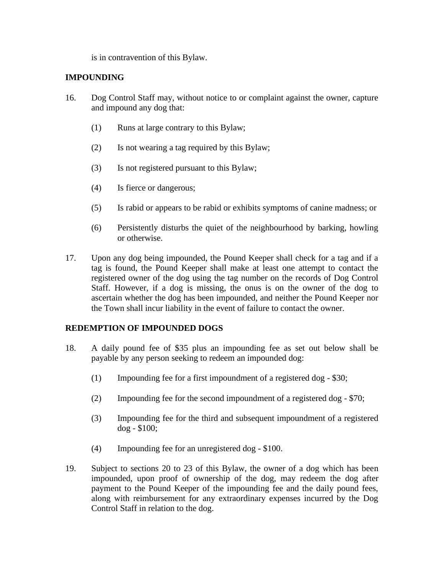is in contravention of this Bylaw.

#### **IMPOUNDING**

- 16. Dog Control Staff may, without notice to or complaint against the owner, capture and impound any dog that:
	- (1) Runs at large contrary to this Bylaw;
	- (2) Is not wearing a tag required by this Bylaw;
	- (3) Is not registered pursuant to this Bylaw;
	- (4) Is fierce or dangerous;
	- (5) Is rabid or appears to be rabid or exhibits symptoms of canine madness; or
	- (6) Persistently disturbs the quiet of the neighbourhood by barking, howling or otherwise.
- 17. Upon any dog being impounded, the Pound Keeper shall check for a tag and if a tag is found, the Pound Keeper shall make at least one attempt to contact the registered owner of the dog using the tag number on the records of Dog Control Staff. However, if a dog is missing, the onus is on the owner of the dog to ascertain whether the dog has been impounded, and neither the Pound Keeper nor the Town shall incur liability in the event of failure to contact the owner.

# **REDEMPTION OF IMPOUNDED DOGS**

- 18. A daily pound fee of \$35 plus an impounding fee as set out below shall be payable by any person seeking to redeem an impounded dog:
	- (1) Impounding fee for a first impoundment of a registered dog \$30;
	- (2) Impounding fee for the second impoundment of a registered dog \$70;
	- (3) Impounding fee for the third and subsequent impoundment of a registered dog - \$100;
	- (4) Impounding fee for an unregistered dog \$100.
- 19. Subject to sections 20 to 23 of this Bylaw, the owner of a dog which has been impounded, upon proof of ownership of the dog, may redeem the dog after payment to the Pound Keeper of the impounding fee and the daily pound fees, along with reimbursement for any extraordinary expenses incurred by the Dog Control Staff in relation to the dog.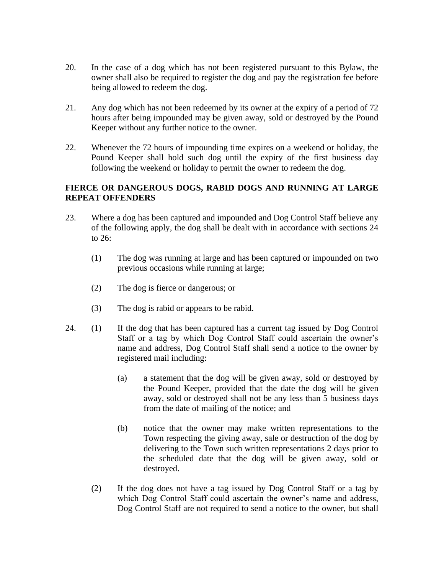- 20. In the case of a dog which has not been registered pursuant to this Bylaw, the owner shall also be required to register the dog and pay the registration fee before being allowed to redeem the dog.
- 21. Any dog which has not been redeemed by its owner at the expiry of a period of 72 hours after being impounded may be given away, sold or destroyed by the Pound Keeper without any further notice to the owner.
- 22. Whenever the 72 hours of impounding time expires on a weekend or holiday, the Pound Keeper shall hold such dog until the expiry of the first business day following the weekend or holiday to permit the owner to redeem the dog.

# **FIERCE OR DANGEROUS DOGS, RABID DOGS AND RUNNING AT LARGE REPEAT OFFENDERS**

- 23. Where a dog has been captured and impounded and Dog Control Staff believe any of the following apply, the dog shall be dealt with in accordance with sections 24 to 26:
	- (1) The dog was running at large and has been captured or impounded on two previous occasions while running at large;
	- (2) The dog is fierce or dangerous; or
	- (3) The dog is rabid or appears to be rabid.
- 24. (1) If the dog that has been captured has a current tag issued by Dog Control Staff or a tag by which Dog Control Staff could ascertain the owner's name and address, Dog Control Staff shall send a notice to the owner by registered mail including:
	- (a) a statement that the dog will be given away, sold or destroyed by the Pound Keeper, provided that the date the dog will be given away, sold or destroyed shall not be any less than 5 business days from the date of mailing of the notice; and
	- (b) notice that the owner may make written representations to the Town respecting the giving away, sale or destruction of the dog by delivering to the Town such written representations 2 days prior to the scheduled date that the dog will be given away, sold or destroyed.
	- (2) If the dog does not have a tag issued by Dog Control Staff or a tag by which Dog Control Staff could ascertain the owner's name and address, Dog Control Staff are not required to send a notice to the owner, but shall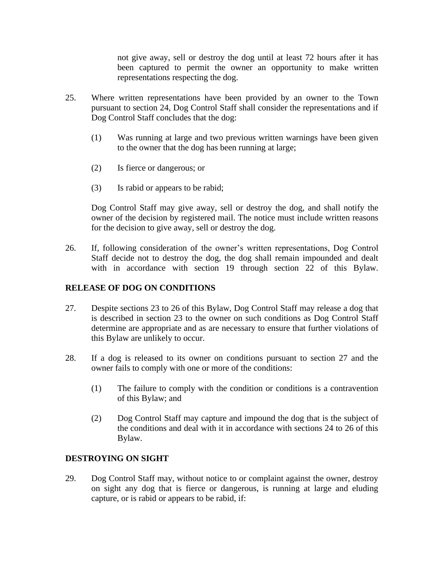not give away, sell or destroy the dog until at least 72 hours after it has been captured to permit the owner an opportunity to make written representations respecting the dog.

- 25. Where written representations have been provided by an owner to the Town pursuant to section 24, Dog Control Staff shall consider the representations and if Dog Control Staff concludes that the dog:
	- (1) Was running at large and two previous written warnings have been given to the owner that the dog has been running at large;
	- (2) Is fierce or dangerous; or
	- (3) Is rabid or appears to be rabid;

Dog Control Staff may give away, sell or destroy the dog, and shall notify the owner of the decision by registered mail. The notice must include written reasons for the decision to give away, sell or destroy the dog.

26. If, following consideration of the owner's written representations, Dog Control Staff decide not to destroy the dog, the dog shall remain impounded and dealt with in accordance with section 19 through section 22 of this Bylaw.

## **RELEASE OF DOG ON CONDITIONS**

- 27. Despite sections 23 to 26 of this Bylaw, Dog Control Staff may release a dog that is described in section 23 to the owner on such conditions as Dog Control Staff determine are appropriate and as are necessary to ensure that further violations of this Bylaw are unlikely to occur.
- 28. If a dog is released to its owner on conditions pursuant to section 27 and the owner fails to comply with one or more of the conditions:
	- (1) The failure to comply with the condition or conditions is a contravention of this Bylaw; and
	- (2) Dog Control Staff may capture and impound the dog that is the subject of the conditions and deal with it in accordance with sections 24 to 26 of this Bylaw.

#### **DESTROYING ON SIGHT**

29. Dog Control Staff may, without notice to or complaint against the owner, destroy on sight any dog that is fierce or dangerous, is running at large and eluding capture, or is rabid or appears to be rabid, if: